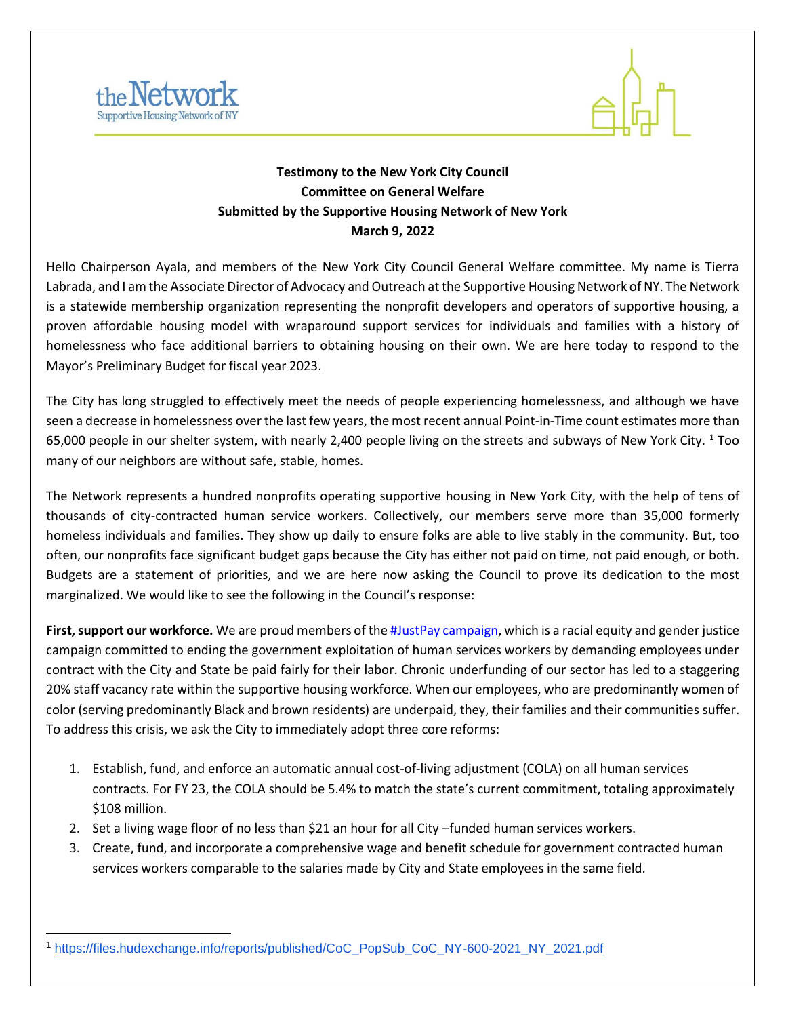



## **Testimony to the New York City Council Committee on General Welfare Submitted by the Supportive Housing Network of New York March 9, 2022**

Hello Chairperson Ayala, and members of the New York City Council General Welfare committee. My name is Tierra Labrada, and I am the Associate Director of Advocacy and Outreach at the Supportive Housing Network of NY. The Network is a statewide membership organization representing the nonprofit developers and operators of supportive housing, a proven affordable housing model with wraparound support services for individuals and families with a history of homelessness who face additional barriers to obtaining housing on their own. We are here today to respond to the Mayor's Preliminary Budget for fiscal year 2023.

The City has long struggled to effectively meet the needs of people experiencing homelessness, and although we have seen a decrease in homelessness over the last few years, the most recent annual Point-in-Time count estimates more than 65,000 people in our shelter system, with nearly 2,400 people living on the streets and subways of New York City.  $1$  Too many of our neighbors are without safe, stable, homes.

The Network represents a hundred nonprofits operating supportive housing in New York City, with the help of tens of thousands of city-contracted human service workers. Collectively, our members serve more than 35,000 formerly homeless individuals and families. They show up daily to ensure folks are able to live stably in the community. But, too often, our nonprofits face significant budget gaps because the City has either not paid on time, not paid enough, or both. Budgets are a statement of priorities, and we are here now asking the Council to prove its dedication to the most marginalized. We would like to see the following in the Council's response:

**First, support our workforce.** We are proud members of th[e](https://www.justpayny.org/) [#JustPay campaign,](https://www.justpayny.org/) which is a racial equity and gender justice campaign committed to ending the government exploitation of human services workers by demanding employees under contract with the City and State be paid fairly for their labor. Chronic underfunding of our sector has led to a staggering 20% staff vacancy rate within the supportive housing workforce. When our employees, who are predominantly women of color (serving predominantly Black and brown residents) are underpaid, they, their families and their communities suffer. To address this crisis, we ask the City to immediately adopt three core reforms:

- 1. Establish, fund, and enforce an automatic annual cost-of-living adjustment (COLA) on all human services contracts. For FY 23, the COLA should be 5.4% to match the state's current commitment, totaling approximately \$108 million.
- 2. Set a living wage floor of no less than \$21 an hour for all City –funded human services workers.
- 3. Create, fund, and incorporate a comprehensive wage and benefit schedule for government contracted human services workers comparable to the salaries made by City and State employees in the same field.

<sup>1</sup> [https://files.hudexchange.info/reports/published/CoC\\_PopSub\\_CoC\\_NY-600-2021\\_NY\\_2021.pdf](https://files.hudexchange.info/reports/published/CoC_PopSub_CoC_NY-600-2021_NY_2021.pdf)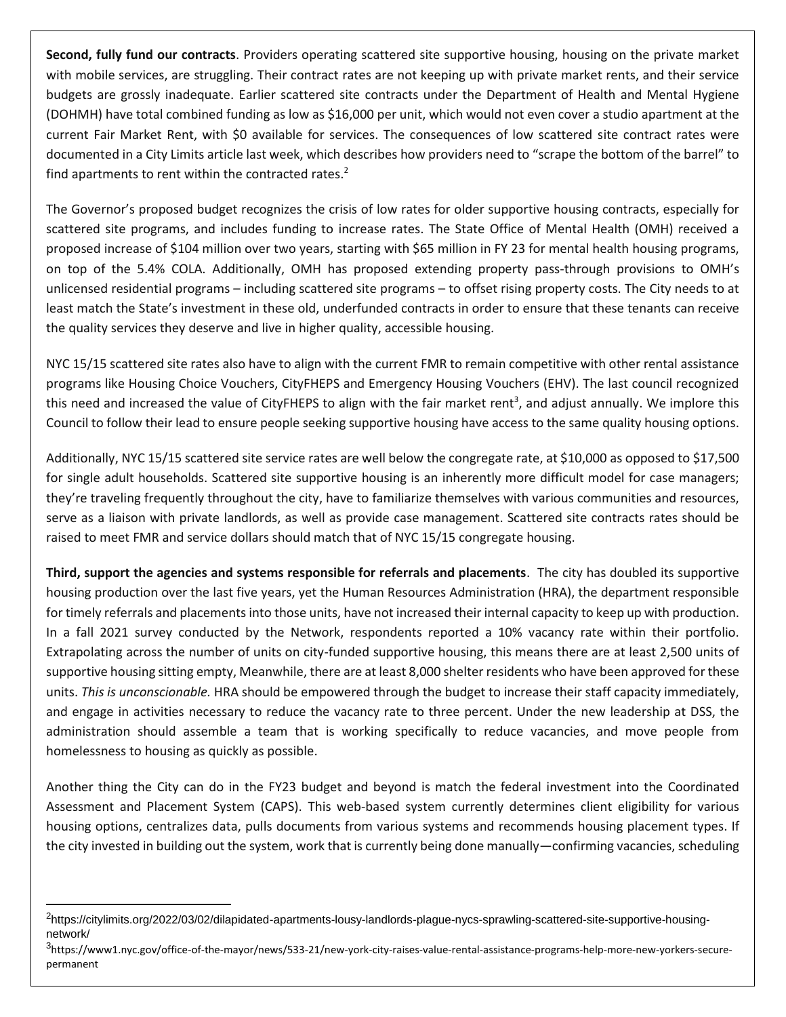**Second, fully fund our contracts**. Providers operating scattered site supportive housing, housing on the private market with mobile services, are struggling. Their contract rates are not keeping up with private market rents, and their service budgets are grossly inadequate. Earlier scattered site contracts under the Department of Health and Mental Hygiene (DOHMH) have total combined funding as low as \$16,000 per unit, which would not even cover a studio apartment at the current Fair Market Rent, with \$0 available for services. The consequences of low scattered site contract rates were documented in a City Limits article last week, which describes how providers need to "scrape the bottom of the barrel" to find apartments to rent within the contracted rates. $2$ 

The Governor's proposed budget recognizes the crisis of low rates for older supportive housing contracts, especially for scattered site programs, and includes funding to increase rates. The State Office of Mental Health (OMH) received a proposed increase of \$104 million over two years, starting with \$65 million in FY 23 for mental health housing programs, on top of the 5.4% COLA. Additionally, OMH has proposed extending property pass-through provisions to OMH's unlicensed residential programs – including scattered site programs – to offset rising property costs. The City needs to at least match the State's investment in these old, underfunded contracts in order to ensure that these tenants can receive the quality services they deserve and live in higher quality, accessible housing.

NYC 15/15 scattered site rates also have to align with the current FMR to remain competitive with other rental assistance programs like Housing Choice Vouchers, CityFHEPS and Emergency Housing Vouchers (EHV). The last council recognized this need and increased the value of CityFHEPS to align with the fair market rent<sup>3</sup>, and adjust annually. We implore this Council to follow their lead to ensure people seeking supportive housing have access to the same quality housing options.

Additionally, NYC 15/15 scattered site service rates are well below the congregate rate, at \$10,000 as opposed to \$17,500 for single adult households. Scattered site supportive housing is an inherently more difficult model for case managers; they're traveling frequently throughout the city, have to familiarize themselves with various communities and resources, serve as a liaison with private landlords, as well as provide case management. Scattered site contracts rates should be raised to meet FMR and service dollars should match that of NYC 15/15 congregate housing.

**Third, support the agencies and systems responsible for referrals and placements**. The city has doubled its supportive housing production over the last five years, yet the Human Resources Administration (HRA), the department responsible for timely referrals and placements into those units, have not increased their internal capacity to keep up with production. In a fall 2021 survey conducted by the Network, respondents reported a 10% vacancy rate within their portfolio. Extrapolating across the number of units on city-funded supportive housing, this means there are at least 2,500 units of supportive housing sitting empty, Meanwhile, there are at least 8,000 shelter residents who have been approved for these units. *This is unconscionable.* HRA should be empowered through the budget to increase their staff capacity immediately, and engage in activities necessary to reduce the vacancy rate to three percent. Under the new leadership at DSS, the administration should assemble a team that is working specifically to reduce vacancies, and move people from homelessness to housing as quickly as possible.

Another thing the City can do in the FY23 budget and beyond is match the federal investment into the Coordinated Assessment and Placement System (CAPS). This web-based system currently determines client eligibility for various housing options, centralizes data, pulls documents from various systems and recommends housing placement types. If the city invested in building out the system, work that is currently being done manually—confirming vacancies, scheduling

<sup>&</sup>lt;sup>2</sup>https://citylimits.org/2022/03/02/dilapidated-apartments-lousy-landlords-plague-nycs-sprawling-scattered-site-supportive-housingnetwork/

<sup>&</sup>lt;sup>3</sup>https://www1.nyc.gov/office-of-the-mayor/news/533-21/new-york-city-raises-value-rental-assistance-programs-help-more-new-yorkers-securepermanent